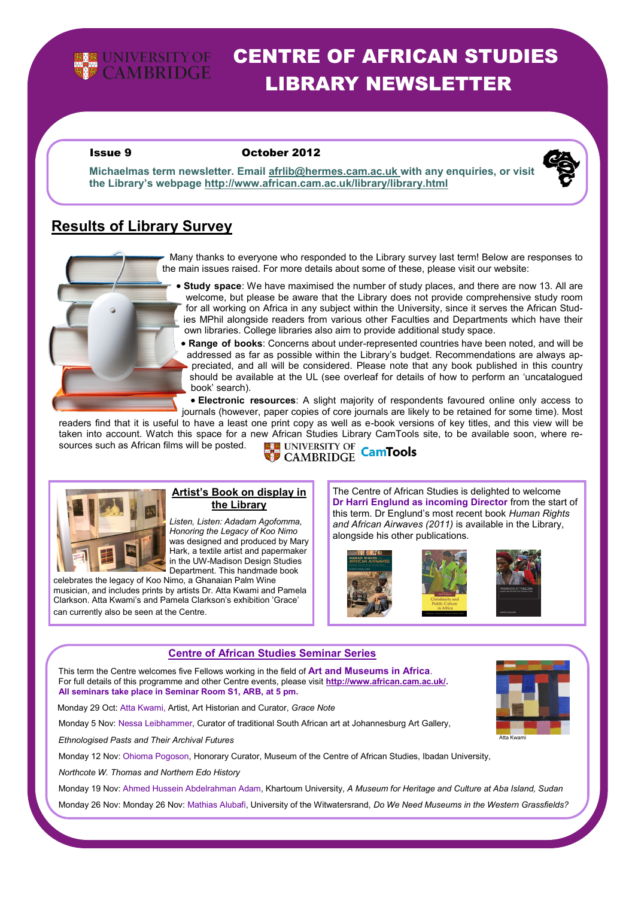

# CENTRE OF AFRICAN STUDIES LIBRARY NEWSLETTER

#### Issue 9 October 2012



**Michaelmas term newsletter. Email afrlib@hermes.cam.ac.uk with any enquiries, or visit the Library's webpage http://www.african.cam.ac.uk/library/library.html**

# **Results of Library Survey**



Many thanks to everyone who responded to the Library survey last term! Below are responses to the main issues raised. For more details about some of these, please visit our website:

 **Study space**: We have maximised the number of study places, and there are now 13. All are welcome, but please be aware that the Library does not provide comprehensive study room for all working on Africa in any subject within the University, since it serves the African Studies MPhil alongside readers from various other Faculties and Departments which have their own libraries. College libraries also aim to provide additional study space.

 **Range of books**: Concerns about under-represented countries have been noted, and will be addressed as far as possible within the Library's budget. Recommendations are always appreciated, and all will be considered. Please note that any book published in this country should be available at the UL (see overleaf for details of how to perform an 'uncatalogued book' search).

 **Electronic resources**: A slight majority of respondents favoured online only access to journals (however, paper copies of core journals are likely to be retained for some time). Most

readers find that it is useful to have a least one print copy as well as e-book versions of key titles, and this view will be taken into account. Watch this space for a new African Studies Library CamTools site, to be available soon, where re-<br>sources such as African films will be posted.<br>CAMBRIDGE CamTools sources such as African films will be posted.



#### **the Library** *Listen, Listen: Adadam Agofomma, Honoring the Legacy of Koo Nimo*  was designed and produced by Mary Hark, a textile artist and papermaker

**Artist's Book on display in** 

in the UW-Madison Design Studies Department. This handmade book celebrates the legacy of Koo Nimo, a Ghanaian Palm Wine

musician, and includes prints by artists Dr. Atta Kwami and Pamela Clarkson. Atta Kwami's and Pamela Clarkson's exhibition 'Grace' can currently also be seen at the Centre.

The Centre of African Studies is delighted to welcome **Dr Harri Englund as incoming Director** from the start of this term. Dr Englund's most recent book *Human Rights and African Airwaves (2011)* is available in the Library, alongside his other publications.





### **Centre of African Studies Seminar Series**

 This term the Centre welcomes five Fellows working in the field of **Art and Museums in Africa**. For full details of this programme and other Centre events, please visit **http://www.african.cam.ac.uk/. All seminars take place in Seminar Room S1, ARB, at 5 pm.**

Monday 29 Oct: Atta Kwami, Artist, Art Historian and Curator, *Grace Note*

Monday 5 Nov: Nessa Leibhammer, Curator of traditional South African art at Johannesburg Art Gallery,

*Ethnologised Pasts and Their Archival Futures*

Monday 12 Nov: Ohioma Pogoson, Honorary Curator, Museum of the Centre of African Studies, Ibadan University,

*Northcote W. Thomas and Northern Edo History* 

Monday 19 Nov: Ahmed Hussein Abdelrahman Adam, Khartoum University, *A Museum for Heritage and Culture at Aba Island, Sudan* 

Monday 26 Nov: Monday 26 Nov: Mathias Alubafi, University of the Witwatersrand, *Do We Need Museums in the Western Grassfields?*